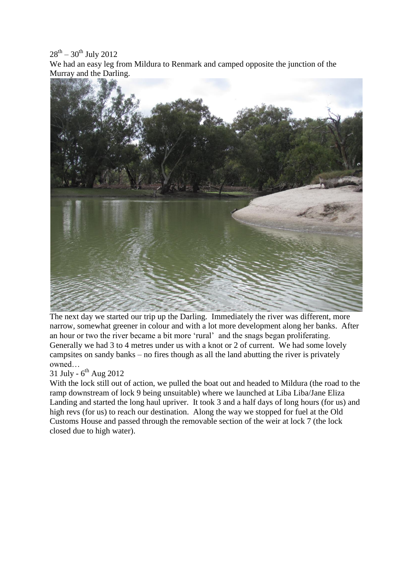$28^{\text{th}} - 30^{\text{th}}$  July 2012

We had an easy leg from Mildura to Renmark and camped opposite the junction of the Murray and the Darling.



The next day we started our trip up the Darling. Immediately the river was different, more narrow, somewhat greener in colour and with a lot more development along her banks. After an hour or two the river became a bit more 'rural' and the snags began proliferating. Generally we had 3 to 4 metres under us with a knot or 2 of current. We had some lovely campsites on sandy banks – no fires though as all the land abutting the river is privately owned…

## 31 July -  $6^{\text{th}}$  Aug 2012

With the lock still out of action, we pulled the boat out and headed to Mildura (the road to the ramp downstream of lock 9 being unsuitable) where we launched at Liba Liba/Jane Eliza Landing and started the long haul upriver. It took 3 and a half days of long hours (for us) and high revs (for us) to reach our destination. Along the way we stopped for fuel at the Old Customs House and passed through the removable section of the weir at lock 7 (the lock closed due to high water).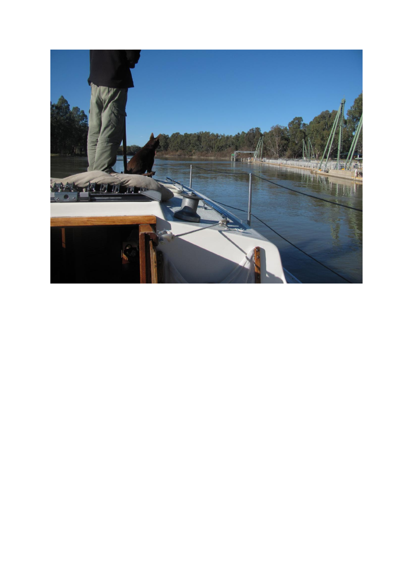